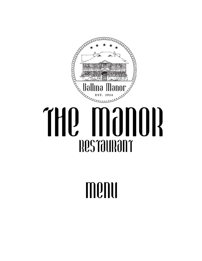

# THQ MƏNOR **Restaurant**

## menu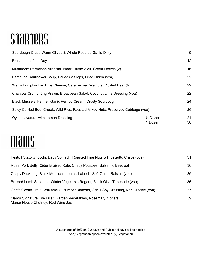### STORTERS

| Sourdough Crust, Warm Olives & Whole Roasted Garlic Oil (v)                      |                                | 9        |
|----------------------------------------------------------------------------------|--------------------------------|----------|
| Bruschetta of the Day                                                            |                                | 12       |
| Mushroom Parmesan Arancini, Black Truffle Aioli, Green Leaves (v)                |                                | 16       |
| Sambuca Cauliflower Soup, Grilled Scallops, Fried Onion (voa)                    |                                | 22       |
| Warm Pumpkin Pie, Blue Cheese, Caramelized Walnuts, Pickled Pear (V)             |                                | 22       |
| Charcoal Crumb King Prawn, Broadbean Salad, Coconut Lime Dressing (voa)          |                                | 22       |
| Black Mussels, Fennel, Garlic Pernod Cream, Crusty Sourdough                     |                                | 24       |
| Spicy Curried Beef Cheek, Wild Rice, Roasted Mixed Nuts, Preserved Cabbage (voa) |                                | 26       |
| <b>Oysters Natural with Lemon Dressing</b>                                       | $\frac{1}{2}$ Dozen<br>1 Dozen | 24<br>38 |

#### mains

| Pesto Potato Gnocchi, Baby Spinach, Roasted Pine Nuts & Prosciutto Crisps (voa)                        | 31 |
|--------------------------------------------------------------------------------------------------------|----|
| Roast Pork Belly, Cider Braised Kale, Crispy Potatoes, Balsamic Beetroot                               | 36 |
| Crispy Duck Leg, Black Morrocan Lentils, Labneh, Soft Cured Raisins (voa)                              | 36 |
| Braised Lamb Shoulder, Winter Vegetable Ragout, Black Olive Tapenade (voa)                             | 36 |
| Confit Ocean Trout, Wakame Cucumber Ribbons, Citrus Soy Dressing, Nori Crackle (voa)                   | 37 |
| Manor Signature Eye Fillet, Garden Vegetables, Rosemary Kipflers,<br>Manor House Chutney, Red Wine Jus | 39 |

A surcharge of 10% on Sundays and Public Holidays will be applied (voa): vegetarian option available, (v): vegetarian